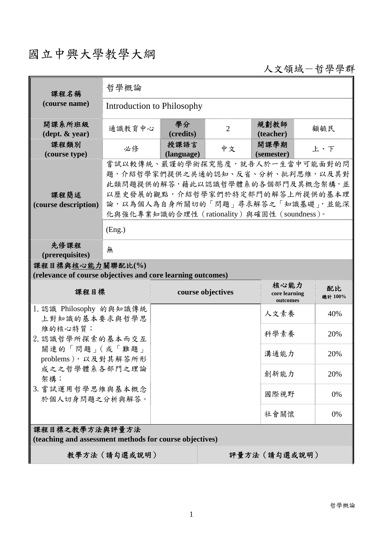## 國立中興大學教學大綱

人文領域-哲學學群

| 課程名稱                                                                            | 哲學概論                                                                                                                                                                                                                           |                    |                |                           |               |  |
|---------------------------------------------------------------------------------|--------------------------------------------------------------------------------------------------------------------------------------------------------------------------------------------------------------------------------|--------------------|----------------|---------------------------|---------------|--|
| (course name)                                                                   | Introduction to Philosophy                                                                                                                                                                                                     |                    |                |                           |               |  |
| 開課系所班級<br>$(\text{dept.} \& \text{ year})$                                      | 通識教育中心                                                                                                                                                                                                                         | 學分<br>(credits)    | $\overline{2}$ | 規劃教師<br>(teacher)         | 顧毓民           |  |
| 課程類別<br>(course type)                                                           | 必修                                                                                                                                                                                                                             | 授課語言<br>(language) | 中文             | 開課學期<br>(semester)        | 上、下           |  |
| 課程簡述<br>(course description)                                                    | 嘗試以較傳統、嚴謹的學術探究態度,就吾人於一生當中可能面對的問<br>題,介紹哲學家們提供之共通的認知、反省、分析、批判思維,以及其對<br>此類問題提供的解答,藉此以認識哲學體系的各個部門及其概念架構,並<br>以歷史發展的觀點,介紹哲學家們於特定部門的解答上所提供的基本理<br>論,以為個人為自身所關切的「問題」尋求解答之「知識基礎」,並能深<br>化與強化專業知識的合理性 (rationality) 與確固性 (soundness)。 |                    |                |                           |               |  |
|                                                                                 | (Eng.)                                                                                                                                                                                                                         |                    |                |                           |               |  |
| 先修課程<br>(prerequisites)                                                         | 無                                                                                                                                                                                                                              |                    |                |                           |               |  |
| 課程目標與核心能力關聯配比(%)<br>(relevance of course objectives and core learning outcomes) |                                                                                                                                                                                                                                |                    |                |                           |               |  |
|                                                                                 |                                                                                                                                                                                                                                |                    |                | 核心能力                      |               |  |
| 課程目標                                                                            |                                                                                                                                                                                                                                | course objectives  |                | core learning<br>outcomes | 配比<br>總計 100% |  |
| 1. 認識 Philosophy 的與知識傳統<br>上對知識的基本要求與哲學思                                        |                                                                                                                                                                                                                                |                    |                | 人文素養                      | 40%           |  |
| 維的核心特質;<br>2. 認識哲學所探索的基本而交互<br>關連的「問題」(或「難題」<br>problems), 以及對其解答所形             |                                                                                                                                                                                                                                |                    |                | 科學素養                      | 20%           |  |
|                                                                                 |                                                                                                                                                                                                                                |                    |                | 溝通能力                      | 20%           |  |
| 成之之哲學體系各部門之理論<br>架構;                                                            |                                                                                                                                                                                                                                |                    |                | 創新能力                      | 20%           |  |
| 3. 嘗試運用哲學思維與基本概念<br>於個人切身問題之分析與解答。                                              |                                                                                                                                                                                                                                |                    |                | 國際視野                      | 0%            |  |
|                                                                                 |                                                                                                                                                                                                                                |                    |                | 社會關懷                      | 0%            |  |
| 課程目標之教學方法與評量方法<br>(teaching and assessment methods for course objectives)       |                                                                                                                                                                                                                                |                    |                |                           |               |  |
| 教學方法 (請勾選或說明)<br>評量方法(請勾選或說明)                                                   |                                                                                                                                                                                                                                |                    |                |                           |               |  |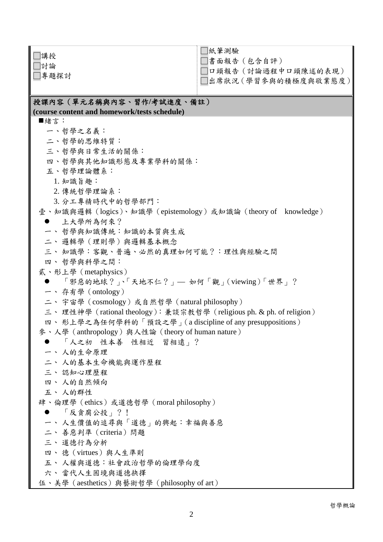| 講授                                                                   | □紙筆測驗                 |  |  |  |  |
|----------------------------------------------------------------------|-----------------------|--|--|--|--|
| 討論                                                                   | □書面報告 (包含自評)          |  |  |  |  |
| □專題探討                                                                | □口頭報告(討論過程中口頭陳述的表現)   |  |  |  |  |
|                                                                      | □出席狀況 (學習參與的積極度與敬業態度) |  |  |  |  |
|                                                                      |                       |  |  |  |  |
| 授課內容(單元名稱與內容、習作/考試進度、備註)                                             |                       |  |  |  |  |
| (course content and homework/tests schedule)                         |                       |  |  |  |  |
| ■緒言:                                                                 |                       |  |  |  |  |
| 一、哲學之名義:                                                             |                       |  |  |  |  |
| 二、哲學的思維特質:                                                           |                       |  |  |  |  |
| 三、哲學與日常生活的關係:                                                        |                       |  |  |  |  |
| 四、哲學與其他知識形態及專業學科的關係:                                                 |                       |  |  |  |  |
| 五、哲學理論體系:                                                            |                       |  |  |  |  |
| 1. 知識旨趣:                                                             |                       |  |  |  |  |
| 2. 傳統哲學理論系:                                                          |                       |  |  |  |  |
| 3. 分工專精時代中的哲學部門:                                                     |                       |  |  |  |  |
| 壹、知識與邏輯 (logics)、知識學 (epistemology) 或知識論 (theory of knowledge)       |                       |  |  |  |  |
| ● 上大學所為何來?                                                           |                       |  |  |  |  |
| 一、哲學與知識傳統:知識的本質與生成                                                   |                       |  |  |  |  |
| 二、邏輯學 (理則學)與邏輯基本概念                                                   |                       |  |  |  |  |
| 三、知識學:客觀、普遍、必然的真理如何可能?:理性與經驗之間                                       |                       |  |  |  |  |
| 四、 哲學與科學之間:                                                          |                       |  |  |  |  |
| 貳、形上學 (metaphysics)                                                  |                       |  |  |  |  |
| ● 「邪惡的地球?」、「天地不仁?」— 如何「觀」(viewing)「世界」?                              |                       |  |  |  |  |
| 一、存有學 (ontology)                                                     |                       |  |  |  |  |
| 二、宇宙學 (cosmology) 或自然哲學 (natural philosophy)                         |                       |  |  |  |  |
| 三、理性神學 (rational theology): 兼談宗教哲學 (religious ph. & ph. of religion) |                       |  |  |  |  |
| 四、形上學之為任何學科的「預設之學」(a discipline of any presuppositions)              |                       |  |  |  |  |
| 參、人學 (anthropology) 與人性論 (theory of human nature)                    |                       |  |  |  |  |
| ● 「人之初 性本善 性相近 習相遠」?                                                 |                       |  |  |  |  |
| 一、人的生命原理                                                             |                       |  |  |  |  |
| 二、人的基本生命機能與運作歷程                                                      |                       |  |  |  |  |
| 三、認知心理歷程                                                             |                       |  |  |  |  |
| 四、人的自然傾向                                                             |                       |  |  |  |  |
| 五、人的群性                                                               |                       |  |  |  |  |
| 肆、倫理學 (ethics) 或道德哲學 (moral philosophy)                              |                       |  |  |  |  |
| ● 「反貪腐公投」?!                                                          |                       |  |  |  |  |
| 一、人生價值的追尋與「道德」的興起:幸福與善惡                                              |                       |  |  |  |  |
| 二、善惡判準 (criteria) 問題                                                 |                       |  |  |  |  |
| 三、道德行為分析                                                             |                       |  |  |  |  |
| 四、德 (virtues) 與人生準則                                                  |                       |  |  |  |  |
| 五、人權與道德:社會政治哲學的倫理學向度                                                 |                       |  |  |  |  |
| 六、當代人生困境與道德抉擇                                                        |                       |  |  |  |  |
| 伍、美學 (aesthetics) 與藝術哲學 (philosophy of art)                          |                       |  |  |  |  |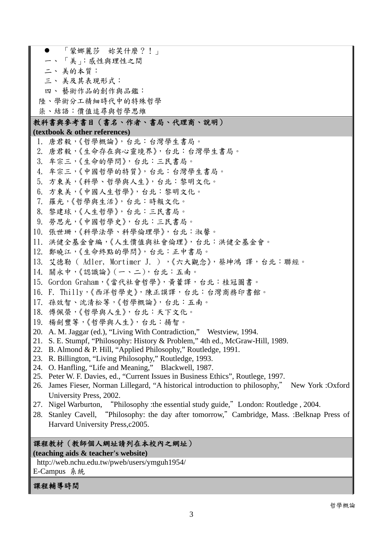「蒙娜麗莎 妳笑什麼?!」 一、 「美」:感性與理性之間 二、 美的本質: 三、 美及其表現形式: 四、 藝術作品的創作與品鑑: 陸、學術分工精細時代中的特殊哲學 柒、結語:價值追尋與哲學思維 教科書與參考書目(書名、作者、書局、代理商、說明) **(textbook & other references)** 1. 唐君毅,《哲學概論》,台北:台灣學生書局。 2. 唐君毅,《生命存在與心靈境界》,台北:台灣學生書局。 3. 牟宗三,《生命的學問》,台北:三民書局。 4. 牟宗三,《中國哲學的特質》,台北:台灣學生書局。 5. 方東美,《科學、哲學與人生》,台北:黎明文化。 6. 方東美,《中國人生哲學》,台北:黎明文化。 7. 羅光,《哲學與生活》,台北:時報文化。 8. 黎建球,《人生哲學》,台北:三民書局。 9. 勞思光,《中國哲學史》,台北:三民書局。 10. 張世珊,《科學法學、科學倫理學》,台北:淑馨。 11. 洪健全基金會編,《人生價值與社會倫理》,台北:洪健全基金會。 12. 鄭曉江,《生命終點的學問》,台北:正中書局。 13. 艾德勒 ( Adler, Mortimer J. ) ,《六大觀念》,蔡坤鴻 譯,台北:聯經。 14. 關永中,《認識論》(一、二),台北:五南。 15. Gordon Graham,《當代社會哲學》,黃藿譯,台北:桂冠圖書。 16. F. Thilly,《西洋哲學史》,陳正謨譯,台北:台灣商務印書館。 17. 孫效智、沈清松等,《哲學概論》,台北:五南。 18. 傅佩榮,《哲學與人生》,台北:天下文化。 19. 楊劍豐等,《哲學與人生》,台北:揚智。 20. A. M. Jaggar (ed.), "Living With Contradiction," Westview, 1994. 21. S. E. Stumpf, "Philosophy: History & Problem," 4th ed., McGraw-Hill, 1989. 22. B. Almond & P. Hill, "Applied Philosophy," Routledge, 1991. 23. R. Billington, "Living Philosophy," Routledge, 1993. 24. O. Hanfling, "Life and Meaning," Blackwell, 1987. 25. Peter W. F. Davies, ed., "Current Issues in Business Ethics", Routlege, 1997. 26. James Fieser, Norman Lillegard, "A historical introduction to philosophy," New York :Oxford University Press, 2002. 27. Nigel Warburton, "Philosophy :the essential study guide,"London: Routledge , 2004. 28. Stanley Cavell, "Philosophy: the day after tomorrow,"Cambridge, Mass. :Belknap Press of Harvard University Press,c2005. 課程教材(教師個人網址請列在本校內之網址) **(teaching aids & teacher's website)**  http://web.nchu.edu.tw/pweb/users/ymguh1954/

E-Campus 系統

## 課程輔導時間